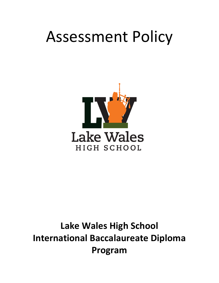# Assessment Policy



# **Lake Wales High School International Baccalaureate Diploma Program**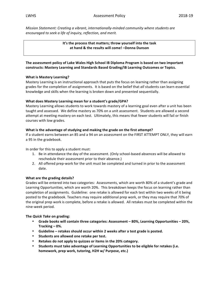*Mission Statement: Creating a vibrant, internationally-minded community where students are encouraged to seek a life of inquiry, reflection, and merit.*

> It's the process that matters; throw yourself into the task at hand & the results will come! -Donna Dunson

The assessment policy of Lake Wales High School IB Diploma Program is based on two important constructs: Mastery Learning and Standards Based Grading/IB Learning Outcomes or Topics.

#### **What is Mastery Learning?**

Mastery Learning is an instructional approach that puts the focus on learning rather than assigning grades for the completion of assignments. It is based on the belief that all students can learn essential knowledge and skills when the learning is broken down and presented sequentially.

#### **What does Mastery Learning mean for a student's grade/GPA?**

Mastery Learning allows students to work towards mastery of a learning goal even after a unit has been taught and assessed. We define mastery as 70% on a unit assessment. Students are allowed a second attempt at meeting mastery on each test. Ultimately, this means that fewer students will fail or finish courses with low grades.

#### **What is the advantage of studying and making the grade on the first attempt?**

If a student earns between an 85 and a 94 on an assessment on the FIRST ATTEMPT ONLY, they will earn a 95 in the gradebook.

In order for this to apply a student must:

- 1. Be in attendance the day of the assessment. (Only school-based absences will be allowed to reschedule their assessment prior to their absence.)
- 2. All offered prep-work for the unit must be completed and turned in prior to the assessment date.

#### **What are the grading details?**

Grades will be entered into two categories: Assessments, which are worth 80% of a student's grade and Learning Opportunities, which are worth 20%. This breakdown keeps the focus on learning rather than completion of assignments. Guideline: one retake is allowed for each test within two weeks of it being posted to the gradebook. Teachers may require additional prep work, or they may require that 70% of the original prep work is complete, before a retake is allowed. All retakes must be completed within the nine-week period.

#### **The** *Quick Take* **on grading:**

- Grade books will contain three categories: Assessment 80%, Learning Opportunities 20%, **Tracking – 0%.**
- Guideline retakes should occur within 2 weeks after a test grade is posted.
- **•** Students are allowed one retake per test.
- Retakes do not apply to quizzes or items in the 20% category.
- Students must take advantage of Learning Opportunities to be eligible for retakes (i.e. homework, prep work, tutoring, H2H w/ Purpose, etc.)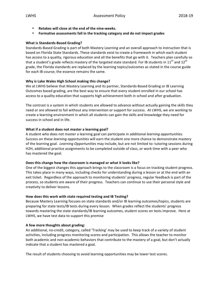- **Retakes will close at the end of the nine-weeks.**
- Formative assessments fall in the tracking category and do not impact grades

## **What is Standards-Based Grading?**

Standards-Based Grading is part of both Mastery Learning and an overall approach to instruction that is based on Florida State Standards. These standards exist to create a framework in which each student has access to a quality, rigorous education and all the benefits that go with it. Teachers plan carefully so that a student's grade reflects mastery of the targeted state standard. For IB students in 11<sup>th</sup> and 12<sup>th</sup> grade, the Florida standards are replaced by the learning topics/outcomes as stated in the course guide for each IB course; the essence remains the same.

## **Why is Lake Wales High School making this change?**

We at LWHS believe that Mastery Learning and its partner, Standards-Based Grading or IB Learning Outcomes based grading, are the best way to ensure that every student enrolled in our school has access to a quality education that supports high achievement both in school and after graduation.

The contrast is a system in which students are allowed to advance without actually gaining the skills they need or are allowed to fail without any intervention or support for success. At LWHS, we are working to create a learning environment in which all students can gain the skills and knowledge they need for success in school and in life.

## **What if a student does not master a learning goal?**

A student who does not master a learning goal can participate in additional *learning opportunities.* Success on these *learning opportunities* will earn the student one more chance to demonstrate mastery of the learning goal. *Learning Opportunities* may include, but are not limited to: tutoring sessions during H2H, additional practice assignments to be completed outside of class, or work time with a peer who has mastered the goal.

#### Does this change how the classroom is managed or what it looks like?

One of the biggest changes this approach brings to the classroom is a focus on tracking student progress. This takes place in many ways, including checks for understanding during a lesson or at the end with an exit ticket. Regardless of the approach to monitoring students' progress, regular feedback is part of the process, so students are aware of their progress. Teachers can continue to use their personal style and creativity to deliver lessons.

# How does this work with state required testing and IB Testing?

Because Mastery Learning focuses on state standards and/or IB learning outcomes/topics, students are preparing for state tests/IB tests during every lesson. When grades reflect the students' progress towards mastering the state standards/IB learning outcomes, student scores on tests improve. Here at LWHS, we have test data to support this premise

#### A few more thoughts about grading:

An additional, no-credit, category, called 'Tracking' may be used to keep track of a variety of student activities, including progress monitoring scores and participation. This allows the teacher to monitor both academic and non-academic behaviors that contribute to the mastery of a goal, but don't actually indicate that a student has mastered a goal.

The result of students choosing to avoid learning opportunities may be lower test scores.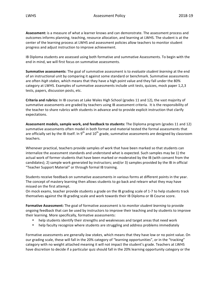Assessment: is a measure of what a learner knows and can demonstrate. The assessment process and outcomes informs planning, teaching, resource allocation, and learning at LWHS. The student is at the center of the learning process at LWHS and assessment policies allow teachers to monitor student progress and adjust instruction to improve achievement.

IB Diploma students are assessed using both formative and summative Assessments. To begin with the end in mind, we will first focus on summative assessments.

**Summative assessments**: The goal of summative assessment is to *evaluate student learning* at the end of an instructional unit by comparing it against some standard or benchmark. Summative assessments are often *high stakes*, which means that they have a high point value and they fall under the 80% category at LWHS. Examples of summative assessments include unit tests, quizzes, mock paper 1,2,3 tests, papers, discussion posts, etc.

**Criteria and rubrics:** In IB courses at Lake Wales High School (grades 11 and 12), the vast majority of summative assessments are graded by teachers using IB assessment criteria. It is the responsibility of the teacher to share rubrics with students in advance and to provide explicit instruction that clarify expectations. 

**Assessment models, sample work, and feedback to students:** The Diploma program (grades 11 and 12) summative assessments often model in both format and material tested the formal assessments that are officially set by the IB itself. In  $9^{th}$  and  $10^{th}$  grade, summative assessments are designed by classroom teachers. 

Whenever practical, teachers provide samples of work that have been marked so that students can internalize the assessment standards and understand what is expected. Such samples may be 1) the actual work of former students that have been marked or moderated by the IB (with consent from the candidates); 2) sample work generated by instructors; and/or 3) samples provided by the IB in official "Teacher Support Material" or through formal IB training.

Students receive feedback on summative assessments in various forms at different points in the year. The concept of mastery learning then allows students to go back and relearn what they may have missed on the first attempt.

On mock exams, teacher provide students a grade on the IB grading scale of 1-7 to help students track themselves against the IB grading scale and work towards their IB Diploma or IB Course score.

**Formative Assessment:** The goal of formative assessment is to *monitor student learning* to provide ongoing feedback that can be used by instructors to improve their teaching and by students to improve their learning. More specifically, formative assessments:

- help students identify their strengths and weaknesses and target areas that need work
- help faculty recognize where students are struggling and address problems immediately

Formative assessments are generally *low stakes*, which means that they have low or no point value. On our grading scale, these will fall in the 20% category of "learning opportunities", or in the "tracking" category with no weight attached meaning it will not impact the student's grade. Teachers at LWHS have discretion to decide if a particular quiz should fall in the 20% learning opportunity category or the